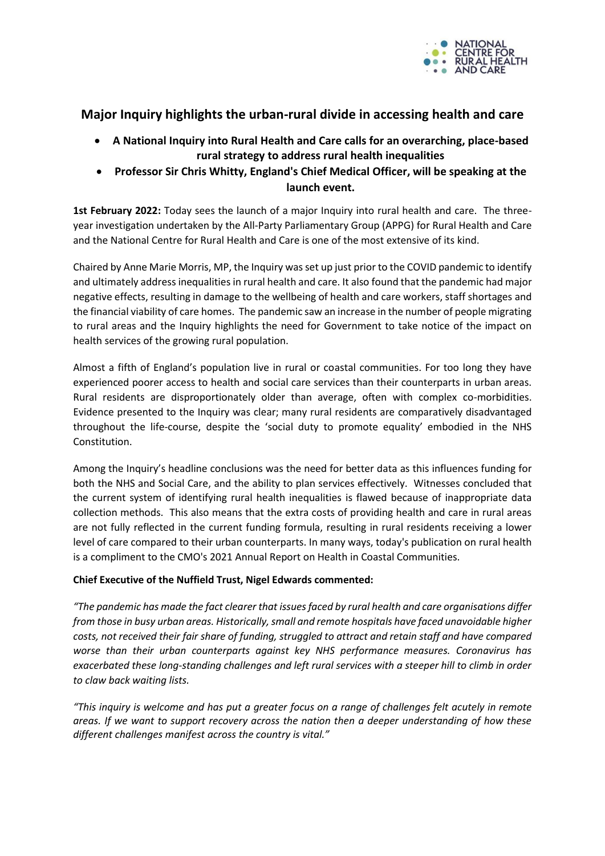

# **Major Inquiry highlights the urban-rural divide in accessing health and care**

- **A National Inquiry into Rural Health and Care calls for an overarching, place-based rural strategy to address rural health inequalities**
- **Professor Sir Chris Whitty, England's Chief Medical Officer, will be speaking at the launch event.**

**1st February 2022:** Today sees the launch of a major Inquiry into rural health and care. The threeyear investigation undertaken by the All-Party Parliamentary Group (APPG) for Rural Health and Care and the National Centre for Rural Health and Care is one of the most extensive of its kind.

Chaired by Anne Marie Morris, MP, the Inquiry was set up just prior to the COVID pandemic to identify and ultimately address inequalities in rural health and care. It also found that the pandemic had major negative effects, resulting in damage to the wellbeing of health and care workers, staff shortages and the financial viability of care homes. The pandemic saw an increase in the number of people migrating to rural areas and the Inquiry highlights the need for Government to take notice of the impact on health services of the growing rural population.

Almost a fifth of England's population live in rural or coastal communities. For too long they have experienced poorer access to health and social care services than their counterparts in urban areas. Rural residents are disproportionately older than average, often with complex co-morbidities. Evidence presented to the Inquiry was clear; many rural residents are comparatively disadvantaged throughout the life-course, despite the 'social duty to promote equality' embodied in the NHS Constitution.

Among the Inquiry's headline conclusions was the need for better data as this influences funding for both the NHS and Social Care, and the ability to plan services effectively. Witnesses concluded that the current system of identifying rural health inequalities is flawed because of inappropriate data collection methods. This also means that the extra costs of providing health and care in rural areas are not fully reflected in the current funding formula, resulting in rural residents receiving a lower level of care compared to their urban counterparts. In many ways, today's publication on rural health is a compliment to the CMO's 2021 Annual Report on Health in Coastal Communities.

## **Chief Executive of the Nuffield Trust, Nigel Edwards commented:**

*"The pandemic has made the fact clearer that issues faced by rural health and care organisations differ from those in busy urban areas. Historically, small and remote hospitals have faced unavoidable higher costs, not received their fair share of funding, struggled to attract and retain staff and have compared worse than their urban counterparts against key NHS performance measures. Coronavirus has exacerbated these long-standing challenges and left rural services with a steeper hill to climb in order to claw back waiting lists.*

*"This inquiry is welcome and has put a greater focus on a range of challenges felt acutely in remote areas. If we want to support recovery across the nation then a deeper understanding of how these different challenges manifest across the country is vital."*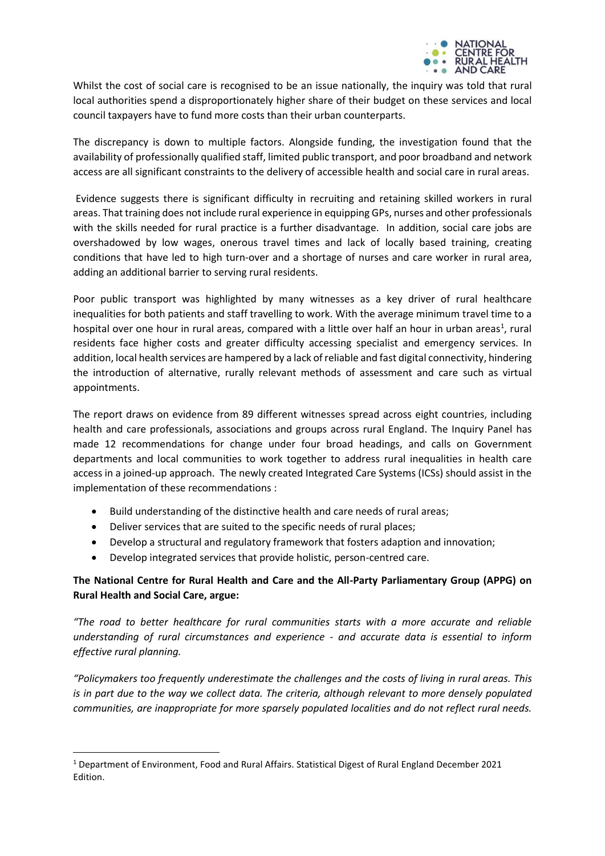

Whilst the cost of social care is recognised to be an issue nationally, the inquiry was told that rural local authorities spend a disproportionately higher share of their budget on these services and local council taxpayers have to fund more costs than their urban counterparts.

The discrepancy is down to multiple factors. Alongside funding, the investigation found that the availability of professionally qualified staff, limited public transport, and poor broadband and network access are all significant constraints to the delivery of accessible health and social care in rural areas.

Evidence suggests there is significant difficulty in recruiting and retaining skilled workers in rural areas. That training does not include rural experience in equipping GPs, nurses and other professionals with the skills needed for rural practice is a further disadvantage. In addition, social care jobs are overshadowed by low wages, onerous travel times and lack of locally based training, creating conditions that have led to high turn-over and a shortage of nurses and care worker in rural area, adding an additional barrier to serving rural residents.

Poor public transport was highlighted by many witnesses as a key driver of rural healthcare inequalities for both patients and staff travelling to work. With the average minimum travel time to a hospital over one hour in rural areas, compared with a little over half an hour in urban areas<sup>1</sup>, rural residents face higher costs and greater difficulty accessing specialist and emergency services. In addition, local health services are hampered by a lack of reliable and fast digital connectivity, hindering the introduction of alternative, rurally relevant methods of assessment and care such as virtual appointments.

The report draws on evidence from 89 different witnesses spread across eight countries, including health and care professionals, associations and groups across rural England. The Inquiry Panel has made 12 recommendations for change under four broad headings, and calls on Government departments and local communities to work together to address rural inequalities in health care access in a joined-up approach. The newly created Integrated Care Systems (ICSs) should assist in the implementation of these recommendations :

- Build understanding of the distinctive health and care needs of rural areas;
- Deliver services that are suited to the specific needs of rural places;
- Develop a structural and regulatory framework that fosters adaption and innovation;
- Develop integrated services that provide holistic, person-centred care.

## **The National Centre for Rural Health and Care and the All-Party Parliamentary Group (APPG) on Rural Health and Social Care, argue:**

*"The road to better healthcare for rural communities starts with a more accurate and reliable understanding of rural circumstances and experience - and accurate data is essential to inform effective rural planning.*

*"Policymakers too frequently underestimate the challenges and the costs of living in rural areas. This is in part due to the way we collect data. The criteria, although relevant to more densely populated communities, are inappropriate for more sparsely populated localities and do not reflect rural needs.*

<sup>1</sup> Department of Environment, Food and Rural Affairs. Statistical Digest of Rural England December 2021 Edition.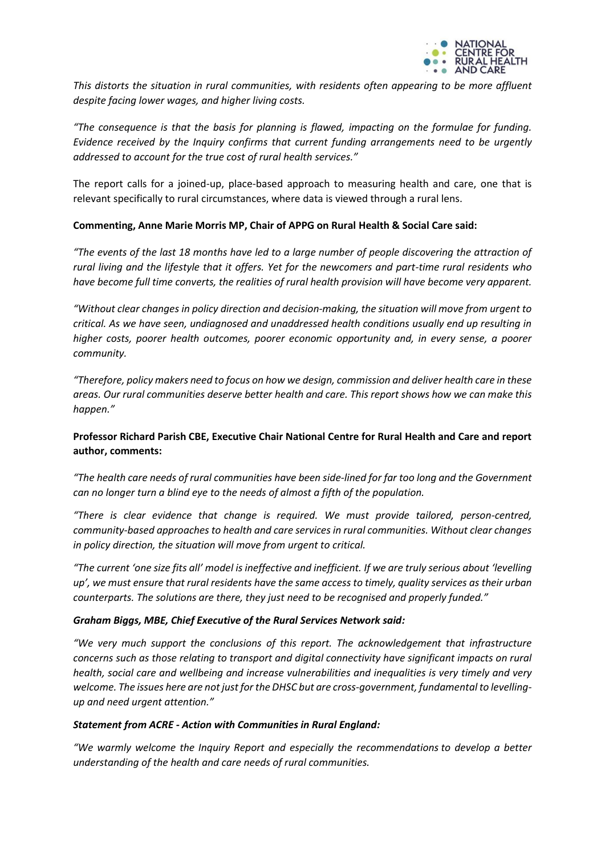

*This distorts the situation in rural communities, with residents often appearing to be more affluent despite facing lower wages, and higher living costs.*

*"The consequence is that the basis for planning is flawed, impacting on the formulae for funding. Evidence received by the Inquiry confirms that current funding arrangements need to be urgently addressed to account for the true cost of rural health services."* 

The report calls for a joined-up, place-based approach to measuring health and care, one that is relevant specifically to rural circumstances, where data is viewed through a rural lens.

#### **Commenting, Anne Marie Morris MP, Chair of APPG on Rural Health & Social Care said:**

*"The events of the last 18 months have led to a large number of people discovering the attraction of rural living and the lifestyle that it offers. Yet for the newcomers and part-time rural residents who have become full time converts, the realities of rural health provision will have become very apparent.* 

*"Without clear changes in policy direction and decision-making, the situation will move from urgent to critical. As we have seen, undiagnosed and unaddressed health conditions usually end up resulting in higher costs, poorer health outcomes, poorer economic opportunity and, in every sense, a poorer community.* 

*"Therefore, policy makers need to focus on how we design, commission and deliver health care in these areas. Our rural communities deserve better health and care. This report shows how we can make this happen."*

## **Professor Richard Parish CBE, Executive Chair National Centre for Rural Health and Care and report author, comments:**

*"The health care needs of rural communities have been side-lined for far too long and the Government can no longer turn a blind eye to the needs of almost a fifth of the population.*

*"There is clear evidence that change is required. We must provide tailored, person-centred, community-based approaches to health and care services in rural communities. Without clear changes in policy direction, the situation will move from urgent to critical.* 

*"The current 'one size fits all' model is ineffective and inefficient. If we are truly serious about 'levelling up', we must ensure that rural residents have the same access to timely, quality services as their urban counterparts. The solutions are there, they just need to be recognised and properly funded."*

#### *Graham Biggs, MBE, Chief Executive of the Rural Services Network said:*

*"We very much support the conclusions of this report. The acknowledgement that infrastructure concerns such as those relating to transport and digital connectivity have significant impacts on rural health, social care and wellbeing and increase vulnerabilities and inequalities is very timely and very welcome. The issues here are not just for the DHSC but are cross-government, fundamental to levellingup and need urgent attention."*

#### *Statement from ACRE - Action with Communities in Rural England:*

*"We warmly welcome the Inquiry Report and especially the recommendations to develop a better understanding of the health and care needs of rural communities.*